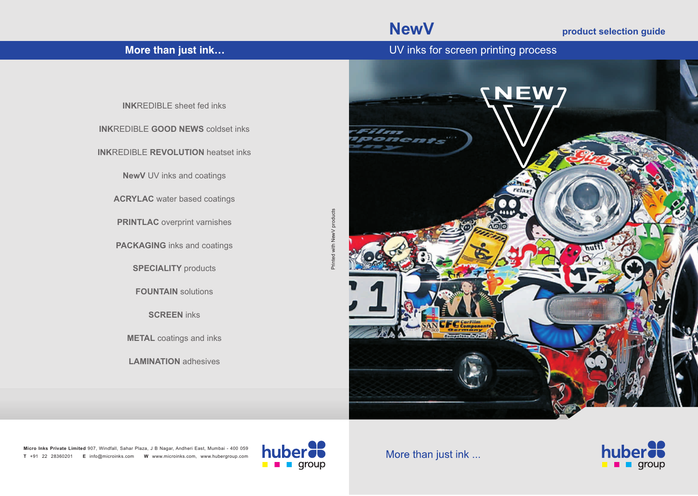## **NewV product selection guide**

**More than just ink… More than just ink…** UV inks for screen printing process

**INK**REDIBLE sheet fed inks **INK**REDIBLE **GOOD NEWS** coldset inks **INK**REDIBLE **REVOLUTION** heatset inks **NewV** UV inks and coatings **ACRYLAC** water based coatings **PRINTLAC** overprint varnishes **PACKAGING** inks and coatings **SPECIALITY** products **FOUNTAIN** solutions **SCREEN** inks **METAL** coatings and inks **LAMINATION** adhesives



**Micro Inks Private Limited**  907, Windfall, Sahar Plaza, J B Nagar, Andheri East, Mumbai - 400 059**T** +91 22 28360201 **E** info@microinks.com **W** www.microinks.com, www.hubergroup.com



Printed with NewV products

Printed with NewV products

More than just ink ...